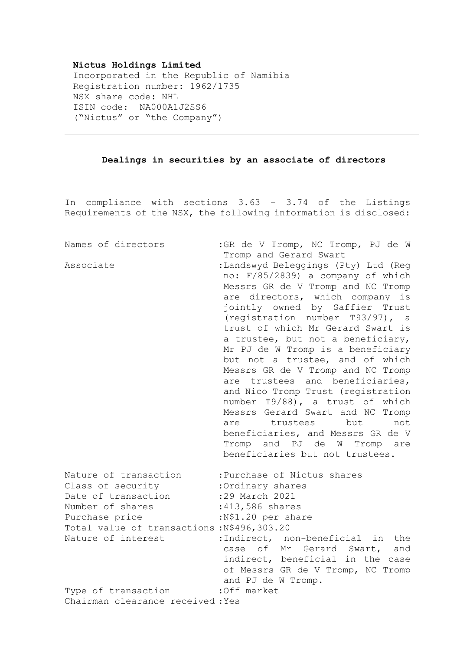## **Nictus Holdings Limited**

Incorporated in the Republic of Namibia Registration number: 1962/1735 NSX share code: NHL ISIN code: NA000A1J2SS6 ("Nictus" or "the Company")

## **Dealings in securities by an associate of directors**

In compliance with sections 3.63 – 3.74 of the Listings Requirements of the NSX, the following information is disclosed:

| Names of directors                                           | : GR de V Tromp, NC Tromp, PJ de W                                                                         |
|--------------------------------------------------------------|------------------------------------------------------------------------------------------------------------|
| Associate                                                    | Tromp and Gerard Swart<br>:Landswyd Beleggings (Pty) Ltd (Reg<br>no: F/85/2839) a company of which         |
|                                                              | Messrs GR de V Tromp and NC Tromp<br>are directors, which company is                                       |
|                                                              | jointly owned by Saffier Trust<br>(registration number T93/97), a                                          |
|                                                              | trust of which Mr Gerard Swart is                                                                          |
|                                                              | a trustee, but not a beneficiary,<br>Mr PJ de W Tromp is a beneficiary                                     |
|                                                              | but not a trustee, and of which                                                                            |
|                                                              | Messrs GR de V Tromp and NC Tromp<br>are trustees and beneficiaries,<br>and Nico Tromp Trust (registration |
|                                                              | number T9/88), a trust of which<br>Messrs Gerard Swart and NC Tromp                                        |
|                                                              | trustees but<br>not<br>are                                                                                 |
|                                                              | beneficiaries, and Messrs GR de V<br>Tromp and PJ de W Tromp are                                           |
|                                                              | beneficiaries but not trustees.                                                                            |
| Nature of transaction<br>Class of security                   | :Purchase of Nictus shares<br>:Ordinary shares                                                             |
| Date of transaction                                          | :29 March 2021                                                                                             |
| Number of shares                                             | :413,586 shares                                                                                            |
| Purchase price<br>Total value of transactions: N\$496,303.20 | :N\$1.20 per share                                                                                         |
| Nature of interest                                           | :Indirect, non-beneficial<br>in the<br>of Mr<br>Gerard Swart,<br>case<br>and                               |
|                                                              | indirect, beneficial in the case<br>of Messrs GR de V Tromp, NC Tromp<br>and PJ de W Tromp.                |
| Type of transaction                                          | :Off market                                                                                                |
| Chairman clearance received: Yes                             |                                                                                                            |